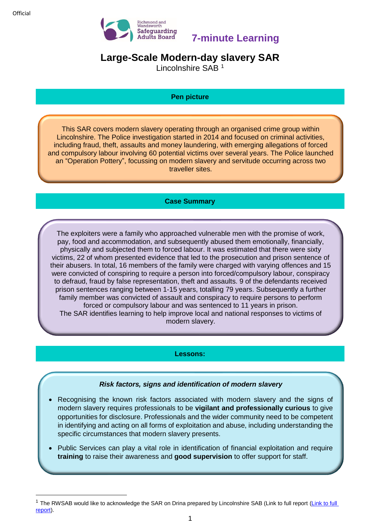**.** 



**7-minute Learning**

# **Large-Scale Modern-day slavery SAR**

Lincolnshire SAB <sup>1</sup>

## **Pen picture**

This SAR covers modern slavery operating through an organised crime group within Lincolnshire. The Police investigation started in 2014 and focused on criminal activities, including fraud, theft, assaults and money laundering, with emerging allegations of forced and compulsory labour involving 60 potential victims over several years. The Police launched an "Operation Pottery", focussing on modern slavery and servitude occurring across two traveller sites.

# **Case Summary**

The exploiters were a family who approached vulnerable men with the promise of work, pay, food and accommodation, and subsequently abused them emotionally, financially, physically and subjected them to forced labour. It was estimated that there were sixty victims, 22 of whom presented evidence that led to the prosecution and prison sentence of their abusers. In total, 16 members of the family were charged with varying offences and 15 were convicted of conspiring to require a person into forced/compulsory labour, conspiracy to defraud, fraud by false representation, theft and assaults. 9 of the defendants received prison sentences ranging between 1-15 years, totalling 79 years. Subsequently a further family member was convicted of assault and conspiracy to require persons to perform forced or compulsory labour and was sentenced to 11 years in prison. The SAR identifies learning to help improve local and national responses to victims of modern slavery.

## **Lessons:**

# *Risk factors, signs and identification of modern slavery*

- Recognising the known risk factors associated with modern slavery and the signs of modern slavery requires professionals to be **vigilant and professionally curious** to give opportunities for disclosure. Professionals and the wider community need to be competent in identifying and acting on all forms of exploitation and abuse, including understanding the specific circumstances that modern slavery presents.
- Public Services can play a vital role in identification of financial exploitation and require **training** to raise their awareness and **good supervision** to offer support for staff.

 $1$  The RWSAB would like to acknowledge the SAR on Drina prepared by Lincolnshire SAB [\(Link to full](https://www.lincolnshire.gov.uk/lsab/safeguarding-adults-reviews/131855.article) report (Link to full [report\)](https://www.lincolnshire.gov.uk/lsab/safeguarding-adults-reviews/131855.article).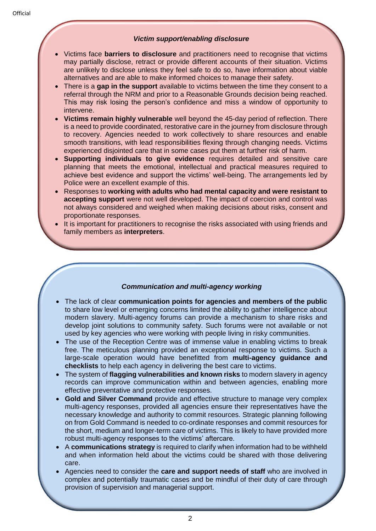#### *Victim support/enabling disclosure*

- Victims face **barriers to disclosure** and practitioners need to recognise that victims may partially disclose, retract or provide different accounts of their situation. Victims are unlikely to disclose unless they feel safe to do so, have information about viable alternatives and are able to make informed choices to manage their safety.
- There is a **gap in the support** available to victims between the time they consent to a referral through the NRM and prior to a Reasonable Grounds decision being reached. This may risk losing the person's confidence and miss a window of opportunity to intervene.
- **Victims remain highly vulnerable** well beyond the 45-day period of reflection. There is a need to provide coordinated, restorative care in the journey from disclosure through to recovery. Agencies needed to work collectively to share resources and enable smooth transitions, with lead responsibilities flexing through changing needs. Victims experienced disjointed care that in some cases put them at further risk of harm.
- **Supporting individuals to give evidence** requires detailed and sensitive care planning that meets the emotional, intellectual and practical measures required to achieve best evidence and support the victims' well-being. The arrangements led by Police were an excellent example of this.
- Responses to **working with adults who had mental capacity and were resistant to accepting support** were not well developed. The impact of coercion and control was not always considered and weighed when making decisions about risks, consent and proportionate responses.
- It is important for practitioners to recognise the risks associated with using friends and family members as **interpreters**.

## *Communication and multi-agency working*

- The lack of clear **communication points for agencies and members of the public** to share low level or emerging concerns limited the ability to gather intelligence about modern slavery. Multi-agency forums can provide a mechanism to share risks and develop joint solutions to community safety. Such forums were not available or not used by key agencies who were working with people living in risky communities.
- The use of the Reception Centre was of immense value in enabling victims to break free. The meticulous planning provided an exceptional response to victims. Such a large-scale operation would have benefitted from **multi-agency guidance and checklists** to help each agency in delivering the best care to victims.
- The system of **flagging vulnerabilities and known risks** to modern slavery in agency records can improve communication within and between agencies, enabling more effective preventative and protective responses.
- **Gold and Silver Command** provide and effective structure to manage very complex multi-agency responses, provided all agencies ensure their representatives have the necessary knowledge and authority to commit resources. Strategic planning following on from Gold Command is needed to co-ordinate responses and commit resources for the short, medium and longer-term care of victims. This is likely to have provided more robust multi-agency responses to the victims' aftercare.
- A **communications strategy** is required to clarify when information had to be withheld and when information held about the victims could be shared with those delivering care.
- Agencies need to consider the **care and support needs of staff** who are involved in complex and potentially traumatic cases and be mindful of their duty of care through provision of supervision and managerial support.